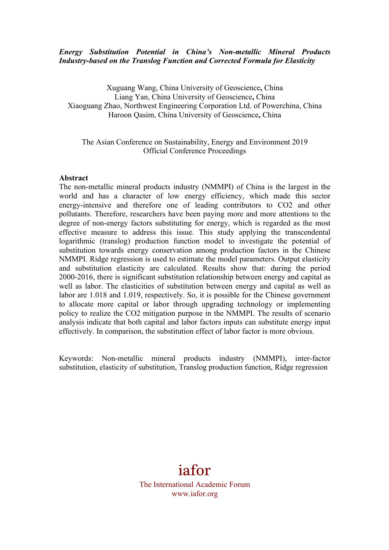# *Energy Substitution Potential in China's Non-metallic Mineral Products Industry-based on the Translog Function and Corrected Formula for Elasticity*

Xuguang Wang, China University of Geoscience**,** China Liang Yan, China University of Geoscience**,** China Xiaoguang Zhao, Northwest Engineering Corporation Ltd. of Powerchina, China Haroon Qasim, China University of Geoscience**,** China

# The Asian Conference on Sustainability, Energy and Environment 2019 Official Conference Proceedings

#### **Abstract**

The non-metallic mineral products industry (NMMPI) of China is the largest in the world and has a character of low energy efficiency, which made this sector energy-intensive and therefore one of leading contributors to CO2 and other pollutants. Therefore, researchers have been paying more and more attentions to the degree of non-energy factors substituting for energy, which is regarded as the most effective measure to address this issue. This study applying the transcendental logarithmic (translog) production function model to investigate the potential of substitution towards energy conservation among production factors in the Chinese NMMPI. Ridge regression is used to estimate the model parameters. Output elasticity and substitution elasticity are calculated. Results show that: during the period 2000-2016, there is significant substitution relationship between energy and capital as well as labor. The elasticities of substitution between energy and capital as well as labor are 1.018 and 1.019, respectively. So, it is possible for the Chinese government to allocate more capital or labor through upgrading technology or implementing policy to realize the CO2 mitigation purpose in the NMMPI. The results of scenario analysis indicate that both capital and labor factors inputs can substitute energy input effectively. In comparison, the substitution effect of labor factor is more obvious.

Keywords: Non-metallic mineral products industry (NMMPI), inter-factor substitution, elasticity of substitution, Translog production function, Ridge regression

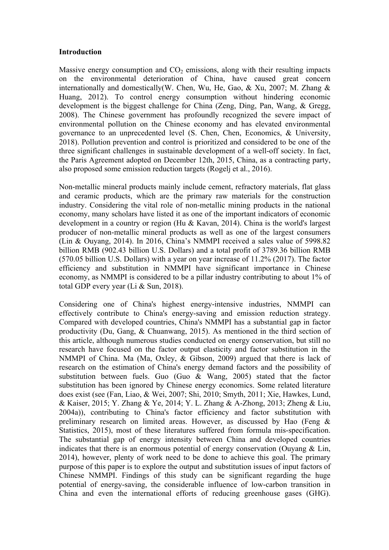#### **Introduction**

Massive energy consumption and  $CO<sub>2</sub>$  emissions, along with their resulting impacts on the environmental deterioration of China, have caused great concern internationally and domestically(W. Chen, Wu, He, Gao, & Xu, 2007; M. Zhang & Huang, 2012). To control energy consumption without hindering economic development is the biggest challenge for China (Zeng, Ding, Pan, Wang, & Gregg, 2008). The Chinese government has profoundly recognized the severe impact of environmental pollution on the Chinese economy and has elevated environmental governance to an unprecedented level (S. Chen, Chen, Economics, & University, 2018). Pollution prevention and control is prioritized and considered to be one of the three significant challenges in sustainable development of a well-off society. In fact, the Paris Agreement adopted on December 12th, 2015, China, as a contracting party, also proposed some emission reduction targets (Rogelj et al., 2016).

Non-metallic mineral products mainly include cement, refractory materials, flat glass and ceramic products, which are the primary raw materials for the construction industry. Considering the vital role of non-metallic mining products in the national economy, many scholars have listed it as one of the important indicators of economic development in a country or region (Hu & Kavan, 2014). China is the world's largest producer of non-metallic mineral products as well as one of the largest consumers (Lin & Ouyang, 2014). In 2016, China's NMMPI received a sales value of 5998.82 billion RMB (902.43 billion U.S. Dollars) and a total profit of 3789.36 billion RMB (570.05 billion U.S. Dollars) with a year on year increase of 11.2% (2017). The factor efficiency and substitution in NMMPI have significant importance in Chinese economy, as NMMPI is considered to be a pillar industry contributing to about 1% of total GDP every year (Li & Sun, 2018).

Considering one of China's highest energy-intensive industries, NMMPI can effectively contribute to China's energy-saving and emission reduction strategy. Compared with developed countries, China's NMMPI has a substantial gap in factor productivity (Du, Gang, & Chuanwang, 2015). As mentioned in the third section of this article, although numerous studies conducted on energy conservation, but still no research have focused on the factor output elasticity and factor substitution in the NMMPI of China. Ma (Ma, Oxley, & Gibson, 2009) argued that there is lack of research on the estimation of China's energy demand factors and the possibility of substitution between fuels. Guo (Guo & Wang, 2005) stated that the factor substitution has been ignored by Chinese energy economics. Some related literature does exist (see (Fan, Liao, & Wei, 2007; Shi, 2010; Smyth, 2011; Xie, Hawkes, Lund, & Kaiser, 2015; Y. Zhang & Ye, 2014; Y. L. Zhang & A-Zhong, 2013; Zheng & Liu, 2004a)), contributing to China's factor efficiency and factor substitution with preliminary research on limited areas. However, as discussed by Hao (Feng & Statistics, 2015), most of these literatures suffered from formula mis-specification. The substantial gap of energy intensity between China and developed countries indicates that there is an enormous potential of energy conservation (Ouyang & Lin, 2014), however, plenty of work need to be done to achieve this goal. The primary purpose of this paper is to explore the output and substitution issues of input factors of Chinese NMMPI. Findings of this study can be significant regarding the huge potential of energy-saving, the considerable influence of low-carbon transition in China and even the international efforts of reducing greenhouse gases (GHG).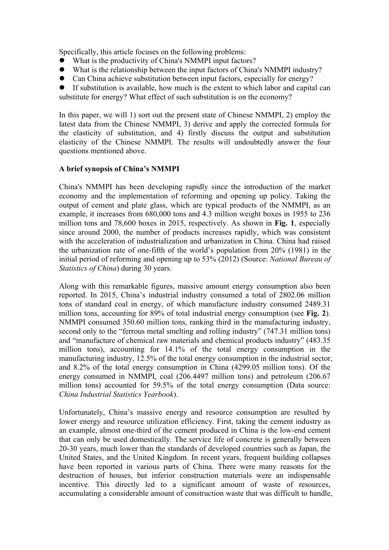Specifically, this article focuses on the following problems:

- What is the productivity of China's NMMPI input factors?
- What is the relationship between the input factors of China's NMMPI industry?
- Can China achieve substitution between input factors, especially for energy?

If substitution is available, how much is the extent to which labor and capital can substitute for energy? What effect of such substitution is on the economy?

In this paper, we will 1) sort out the present state of Chinese NMMPI, 2) employ the latest data from the Chinese NMMPI, 3) derive and apply the corrected formula for the elasticity of substitution, and 4) firstly discuss the output and substitution elasticity of the Chinese NMMPI. The results will undoubtedly answer the four questions mentioned above.

# **A brief synopsis of China's NMMPI**

China's NMMPI has been developing rapidly since the introduction of the market economy and the implementation of reforming and opening up policy. Taking the output of cement and plate glass, which are typical products of the NMMPI, as an example, it increases from 680,000 tons and 4.3 million weight boxes in 1955 to 236 million tons and 78,600 boxes in 2015, respectively. As shown in **Fig. 1**, especially since around 2000, the number of products increases rapidly, which was consistent with the acceleration of industrialization and urbanization in China. China had raised the urbanization rate of one-fifth of the world's population from 20% (1981) in the initial period of reforming and opening up to 53% (2012) (Source: *National Bureau of Statistics of China*) during 30 years.

Along with this remarkable figures, massive amount energy consumption also been reported. In 2015, China's industrial industry consumed a total of 2802.06 million tons of standard coal in energy, of which manufacture industry consumed 2489.31 million tons, accounting for 89% of total industrial energy consumption (see **Fig. 2**). NMMPI consumed 350.60 million tons, ranking third in the manufacturing industry, second only to the "ferrous metal smelting and rolling industry" (747.31 million tons) and "manufacture of chemical raw materials and chemical products industry" (483.35 million tons), accounting for 14.1% of the total energy consumption in the manufacturing industry, 12.5% of the total energy consumption in the industrial sector, and 8.2% of the total energy consumption in China (4299.05 million tons). Of the energy consumed in NMMPI, coal (206.4497 million tons) and petroleum (206.67 million tons) accounted for 59.5% of the total energy consumption (Data source: *China Industrial Statistics Yearbook*).

Unfortunately, China's massive energy and resource consumption are resulted by lower energy and resource utilization efficiency. First, taking the cement industry as an example, almost one-third of the cement produced in China is the low-end cement that can only be used domestically. The service life of concrete is generally between 20-30 years, much lower than the standards of developed countries such as Japan, the United States, and the United Kingdom. In recent years, frequent building collapses have been reported in various parts of China. There were many reasons for the destruction of houses, but inferior construction materials were an indispensable incentive. This directly led to a significant amount of waste of resources, accumulating a considerable amount of construction waste that was difficult to handle,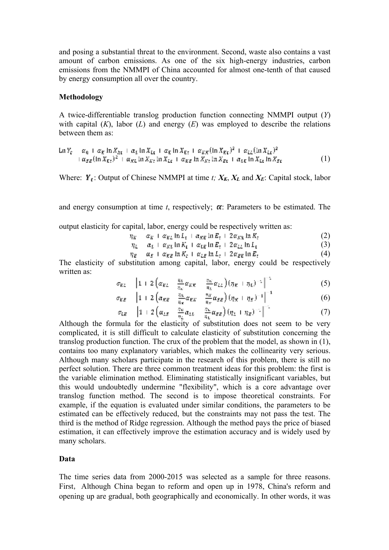and posing a substantial threat to the environment. Second, waste also contains a vast amount of carbon emissions. As one of the six high-energy industries, carbon emissions from the NMMPI of China accounted for almost one-tenth of that caused by energy consumption all over the country.

#### **Methodology**

A twice-differentiable translog production function connecting NMMPI output (*Y*) with capital  $(K)$ , labor  $(L)$  and energy  $(E)$  was employed to describe the relations between them as:

$$
\ln Y_{t} = \alpha_{0} + \alpha_{E} \ln X_{kt} + \alpha_{L} \ln X_{kt} + \alpha_{E} \ln X_{Et} + \alpha_{KK} (\ln X_{Et})^{2} + \alpha_{LL} (\ln X_{kt})^{2} + \alpha_{SE} (\ln X_{Et})^{2} + \alpha_{KE} \ln X_{kt} \ln X_{kt} + \alpha_{KE} \ln X_{kt} \ln X_{Et} + \alpha_{LE} \ln X_{kt} \ln X_{Et}
$$
\n(1)

Where:  $Y_t$ : Output of Chinese NMMPI at time *t;*  $X_K$ ,  $X_L$  and  $X_E$ : Capital stock, labor

and energy consumption at time  $t$ , respectively;  $\alpha$ : Parameters to be estimated. The

output elasticity for capital, labor, energy could be respectively written as:

- $\eta_K = \alpha_K + \alpha_{KL} \ln L_t + \alpha_{KE} \ln E_t + 2\alpha_{KK} \ln K_t.$ (2)
- $\eta_{L} = \alpha_{L} + \alpha_{KL} \ln K_{t} + \alpha_{LE} \ln E_{t} + 2 \alpha_{LL} \ln L_{t}$ (3)
- $\eta_P = \alpha_r + \alpha_{PP} \ln K_r + \alpha_{LP} \ln L_r + 2\alpha_{PF} \ln E_r$ (4)

The elasticity of substitution among capital, labor, energy could be respectively written as:

$$
\sigma_{KL} = \left[1 + 2\left(\alpha_{KL} - \frac{\eta_L}{\eta_R}\alpha_{KR} - \frac{\eta_R}{\eta_L}\alpha_{LL}\right)(\eta_R + \eta_L)^{-1}\right]^{-1} \tag{5}
$$

$$
\sigma_{KE} = \left[1 + 2\left(\alpha_{KE} - \frac{\eta_E}{\eta_K}\alpha_{EK} - \frac{\eta_H}{\eta_K}\alpha_{EE}\right)(\eta_K + \eta_E)^{-1}\right]^{-1} \tag{6}
$$

$$
\sigma_{LE} = \left[1 + 2\left(\alpha_{LE} - \frac{\eta_u}{\eta_L}\alpha_{LE} - \frac{\eta_u}{\eta_L}\alpha_{EE}\right)(\eta_L + \eta_E)^{-1}\right]^{-1} \qquad (7)
$$

Although the formula for the elasticity of substitution does not seem to be very complicated, it is still difficult to calculate elasticity of substitution concerning the translog production function. The crux of the problem that the model, as shown in (1), contains too many explanatory variables, which makes the collinearity very serious. Although many scholars participate in the research of this problem, there is still no perfect solution. There are three common treatment ideas for this problem: the first is the variable elimination method. Eliminating statistically insignificant variables, but this would undoubtedly undermine "flexibility", which is a core advantage over translog function method. The second is to impose theoretical constraints. For example, if the equation is evaluated under similar conditions, the parameters to be estimated can be effectively reduced, but the constraints may not pass the test. The third is the method of Ridge regression. Although the method pays the price of biased estimation, it can effectively improve the estimation accuracy and is widely used by many scholars.

### **Data**

The time series data from 2000-2015 was selected as a sample for three reasons. First, Although China began to reform and open up in 1978, China's reform and opening up are gradual, both geographically and economically. In other words, it was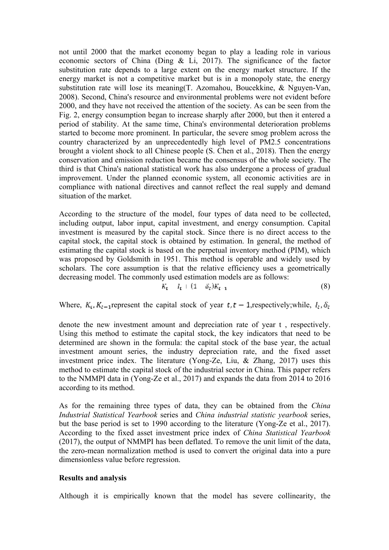not until 2000 that the market economy began to play a leading role in various economic sectors of China (Ding & Li, 2017). The significance of the factor substitution rate depends to a large extent on the energy market structure. If the energy market is not a competitive market but is in a monopoly state, the energy substitution rate will lose its meaning(T. Azomahou, Boucekkine, & Nguyen-Van, 2008). Second, China's resource and environmental problems were not evident before 2000, and they have not received the attention of the society. As can be seen from the Fig. 2, energy consumption began to increase sharply after 2000, but then it entered a period of stability. At the same time, China's environmental deterioration problems started to become more prominent. In particular, the severe smog problem across the country characterized by an unprecedentedly high level of PM2.5 concentrations brought a violent shock to all Chinese people (S. Chen et al., 2018). Then the energy conservation and emission reduction became the consensus of the whole society. The third is that China's national statistical work has also undergone a process of gradual improvement. Under the planned economic system, all economic activities are in compliance with national directives and cannot reflect the real supply and demand situation of the market.

According to the structure of the model, four types of data need to be collected, including output, labor input, capital investment, and energy consumption. Capital investment is measured by the capital stock. Since there is no direct access to the capital stock, the capital stock is obtained by estimation. In general, the method of estimating the capital stock is based on the perpetual inventory method (PIM), which was proposed by Goldsmith in 1951. This method is operable and widely used by scholars. The core assumption is that the relative efficiency uses a geometrically decreasing model. The commonly used estimation models are as follows:

$$
K_{t} = I_{t} + (1 - \delta_{t})K_{t-1} \tag{8}
$$

Where,  $K_i, K_{i-1}$  represent the capital stock of year  $t, t - 1$ , respectively; while,  $I_i, \delta_i$ 

denote the new investment amount and depreciation rate of year t , respectively. Using this method to estimate the capital stock, the key indicators that need to be determined are shown in the formula: the capital stock of the base year, the actual investment amount series, the industry depreciation rate, and the fixed asset investment price index. The literature (Yong-Ze, Liu, & Zhang, 2017) uses this method to estimate the capital stock of the industrial sector in China. This paper refers to the NMMPI data in (Yong-Ze et al., 2017) and expands the data from 2014 to 2016 according to its method.

As for the remaining three types of data, they can be obtained from the *China Industrial Statistical Yearbook* series and *China industrial statistic yearbook* series, but the base period is set to 1990 according to the literature (Yong-Ze et al., 2017). According to the fixed asset investment price index of *China Statistical Yearbook*  (2017), the output of NMMPI has been deflated. To remove the unit limit of the data, the zero-mean normalization method is used to convert the original data into a pure dimensionless value before regression.

### **Results and analysis**

Although it is empirically known that the model has severe collinearity, the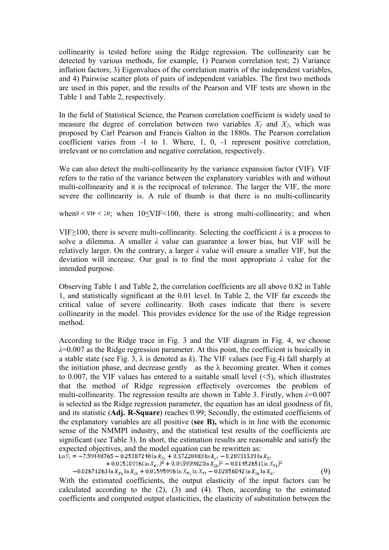collinearity is tested before using the Ridge regression. The collinearity can be detected by various methods, for example, 1) Pearson correlation test; 2) Variance inflation factors; 3) Eigenvalues of the correlation matrix of the independent variables, and 4) Pairwise scatter plots of pairs of independent variables. The first two methods are used in this paper, and the results of the Pearson and VIF tests are shown in the Table 1 and Table 2, respectively.

In the field of Statistical Science, the Pearson correlation coefficient is widely used to measure the degree of correlation between two variables  $X_1$  and  $X_2$ , which was proposed by Carl Pearson and Francis Galton in the 1880s. The Pearson correlation coefficient varies from -1 to 1. Where, 1, 0, -1 represent positive correlation, irrelevant or no correlation and negative correlation, respectively.

We can also detect the multi-collinearity by the variance expansion factor (VIF). VIF refers to the ratio of the variance between the explanatory variables with and without multi-collinearity and it is the reciprocal of tolerance. The larger the VIF, the more severe the collinearity is. A rule of thumb is that there is no multi-collinearity

when  $0 \le \nu$  if  $\le 10$ ; when  $10 \le \nu$  IF  $\le 100$ , there is strong multi-collinearity; and when

VIF $>$ 100, there is severe multi-collinearity. Selecting the coefficient  $\lambda$  is a process to solve a dilemma. A smaller *λ* value can guarantee a lower bias, but VIF will be relatively larger. On the contrary, a larger *λ* value will ensure a smaller VIF, but the deviation will increase. Our goal is to find the most appropriate *λ* value for the intended purpose.

Observing Table 1 and Table 2, the correlation coefficients are all above 0.82 in Table 1, and statistically significant at the 0.01 level. In Table 2, the VIF far exceeds the critical value of severe collinearity. Both cases indicate that there is severe collinearity in the model. This provides evidence for the use of the Ridge regression method.

According to the Ridge trace in Fig. 3 and the VIF diagram in Fig. 4, we choose *λ*=0.007 as the Ridge regression parameter. At this point, the coefficient is basically in a stable state (see Fig. 3, λ is denoted as *k*). The VIF values (see Fig.4) fall sharply at the initiation phase, and decrease gently as the  $\lambda$  becoming greater. When it comes to 0.007, the VIF values has entered to a suitable small level  $(\leq 5)$ , which illustrates that the method of Ridge regression effectively overcomes the problem of multi-collinearity. The regression results are shown in Table 3. Firstly, when *λ*=0.007 is selected as the Ridge regression parameter, the equation has an ideal goodness of fit, and its statistic (**Adj. R-Square**) reaches 0.99; Secondly, the estimated coefficients of the explanatory variables are all positive (**see B),** which is in line with the economic sense of the NMMPI industry, and the statistical test results of the coefficients are significant (see Table 3). In short, the estimation results are reasonable and satisfy the expected objectives, and the model equation can be rewritten as:<br>
Ln  $Y_1 = -7.59448765 - 0.25387248 \ln X_{31} + 0.57220483 \ln X_{41} - 0.28931539 \ln X_{31} + 0.01510996(\ln X_{31})^2 + 0.04593982(\ln X_{21})^2 - 0.01452651(\ln X_{31})^2 - 0.02671263 \ln X_{$ 

(9)

With the estimated coefficients, the output elasticity of the input factors can be calculated according to the  $(2)$ ,  $(3)$  and  $(4)$ . Then, according to the estimated coefficients and computed output elasticities, the elasticity of substitution between the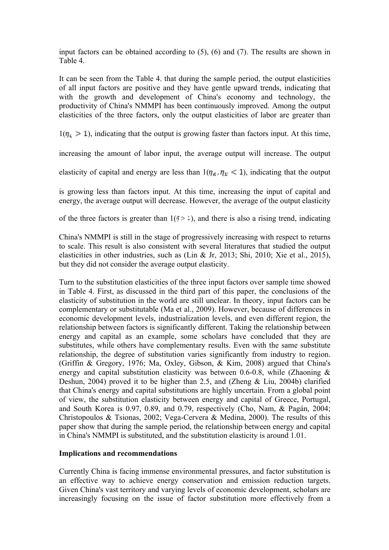input factors can be obtained according to (5), (6) and (7). The results are shown in Table 4.

It can be seen from the Table 4. that during the sample period, the output elasticities of all input factors are positive and they have gentle upward trends, indicating that with the growth and development of China's economy and technology, the productivity of China's NMMPI has been continuously improved. Among the output elasticities of the three factors, only the output elasticities of labor are greater than

 $1(\eta_i > 1)$ , indicating that the output is growing faster than factors input. At this time,

increasing the amount of labor input, the average output will increase. The output

elasticity of capital and energy are less than  $1(\eta_{\kappa}, \eta_{\kappa} < 1)$ , indicating that the output

is growing less than factors input. At this time, increasing the input of capital and energy, the average output will decrease. However, the average of the output elasticity

of the three factors is greater than  $1(j \ge 1)$ , and there is also a rising trend, indicating

China's NMMPI is still in the stage of progressively increasing with respect to returns to scale. This result is also consistent with several literatures that studied the output elasticities in other industries, such as (Lin & Jr, 2013; Shi, 2010; Xie et al., 2015), but they did not consider the average output elasticity.

Turn to the substitution elasticities of the three input factors over sample time showed in Table 4. First, as discussed in the third part of this paper, the conclusions of the elasticity of substitution in the world are still unclear. In theory, input factors can be complementary or substitutable (Ma et al., 2009). However, because of differences in economic development levels, industrialization levels, and even different region, the relationship between factors is significantly different. Taking the relationship between energy and capital as an example, some scholars have concluded that they are substitutes, while others have complementary results. Even with the same substitute relationship, the degree of substitution varies significantly from industry to region. (Griffin & Gregory, 1976; Ma, Oxley, Gibson, & Kim, 2008) argued that China's energy and capital substitution elasticity was between 0.6-0.8, while (Zhaoning & Deshun, 2004) proved it to be higher than 2.5, and (Zheng & Liu, 2004b) clarified that China's energy and capital substitutions are highly uncertain. From a global point of view, the substitution elasticity between energy and capital of Greece, Portugal, and South Korea is 0.97, 0.89, and 0.79, respectively (Cho, Nam, & Pagán, 2004; Christopoulos & Tsionas, 2002; Vega-Cervera & Medina, 2000). The results of this paper show that during the sample period, the relationship between energy and capital in China's NMMPI is substituted, and the substitution elasticity is around 1.01.

# **Implications and recommendations**

Currently China is facing immense environmental pressures, and factor substitution is an effective way to achieve energy conservation and emission reduction targets. Given China's vast territory and varying levels of economic development, scholars are increasingly focusing on the issue of factor substitution more effectively from a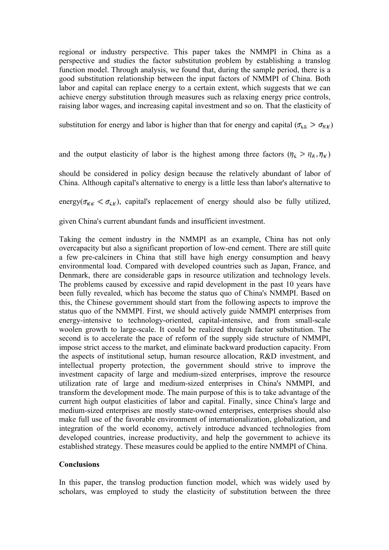regional or industry perspective. This paper takes the NMMPI in China as a perspective and studies the factor substitution problem by establishing a translog function model. Through analysis, we found that, during the sample period, there is a good substitution relationship between the input factors of NMMPI of China. Both labor and capital can replace energy to a certain extent, which suggests that we can achieve energy substitution through measures such as relaxing energy price controls, raising labor wages, and increasing capital investment and so on. That the elasticity of

substitution for energy and labor is higher than that for energy and capital ( $\sigma_{LL} > \sigma_{K}$ )

and the output elasticity of labor is the highest among three factors  $(\eta_L > \eta_K, \eta_F)$ 

should be considered in policy design because the relatively abundant of labor of China. Although capital's alternative to energy is a little less than labor's alternative to

energy( $\sigma_{KE} < \sigma_{LF}$ ), capital's replacement of energy should also be fully utilized,

given China's current abundant funds and insufficient investment.

Taking the cement industry in the NMMPI as an example, China has not only overcapacity but also a significant proportion of low-end cement. There are still quite a few pre-calciners in China that still have high energy consumption and heavy environmental load. Compared with developed countries such as Japan, France, and Denmark, there are considerable gaps in resource utilization and technology levels. The problems caused by excessive and rapid development in the past 10 years have been fully revealed, which has become the status quo of China's NMMPI. Based on this, the Chinese government should start from the following aspects to improve the status quo of the NMMPI. First, we should actively guide NMMPI enterprises from energy-intensive to technology-oriented, capital-intensive, and from small-scale woolen growth to large-scale. It could be realized through factor substitution. The second is to accelerate the pace of reform of the supply side structure of NMMPI, impose strict access to the market, and eliminate backward production capacity. From the aspects of institutional setup, human resource allocation, R&D investment, and intellectual property protection, the government should strive to improve the investment capacity of large and medium-sized enterprises, improve the resource utilization rate of large and medium-sized enterprises in China's NMMPI, and transform the development mode. The main purpose of this is to take advantage of the current high output elasticities of labor and capital. Finally, since China's large and medium-sized enterprises are mostly state-owned enterprises, enterprises should also make full use of the favorable environment of internationalization, globalization, and integration of the world economy, actively introduce advanced technologies from developed countries, increase productivity, and help the government to achieve its established strategy. These measures could be applied to the entire NMMPI of China.

### **Conclusions**

In this paper, the translog production function model, which was widely used by scholars, was employed to study the elasticity of substitution between the three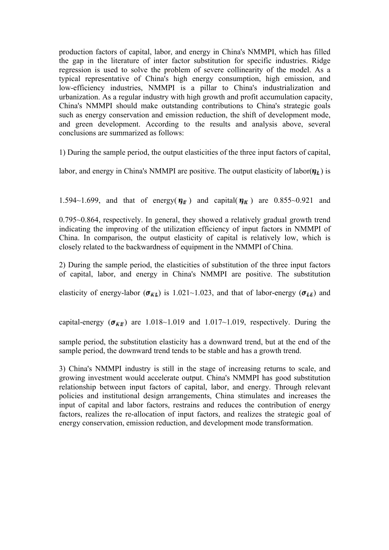production factors of capital, labor, and energy in China's NMMPI, which has filled the gap in the literature of inter factor substitution for specific industries. Ridge regression is used to solve the problem of severe collinearity of the model. As a typical representative of China's high energy consumption, high emission, and low-efficiency industries, NMMPI is a pillar to China's industrialization and urbanization. As a regular industry with high growth and profit accumulation capacity, China's NMMPI should make outstanding contributions to China's strategic goals such as energy conservation and emission reduction, the shift of development mode, and green development. According to the results and analysis above, several conclusions are summarized as follows:

1) During the sample period, the output elasticities of the three input factors of capital,

labor, and energy in China's NMMPI are positive. The output elasticity of labor $(\eta_{\mu})$  is

1.594~1.699, and that of energy( $\eta_F$ ) and capital( $\eta_K$ ) are 0.855~0.921 and

0.795~0.864, respectively. In general, they showed a relatively gradual growth trend indicating the improving of the utilization efficiency of input factors in NMMPI of China. In comparison, the output elasticity of capital is relatively low, which is closely related to the backwardness of equipment in the NMMPI of China.

2) During the sample period, the elasticities of substitution of the three input factors of capital, labor, and energy in China's NMMPI are positive. The substitution

elasticity of energy-labor ( $\sigma_{KL}$ ) is 1.021~1.023, and that of labor-energy ( $\sigma_{LE}$ ) and

capital-energy ( $\sigma_{\text{RF}}$ ) are 1.018~1.019 and 1.017~1.019, respectively. During the

sample period, the substitution elasticity has a downward trend, but at the end of the sample period, the downward trend tends to be stable and has a growth trend.

3) China's NMMPI industry is still in the stage of increasing returns to scale, and growing investment would accelerate output. China's NMMPI has good substitution relationship between input factors of capital, labor, and energy. Through relevant policies and institutional design arrangements, China stimulates and increases the input of capital and labor factors, restrains and reduces the contribution of energy factors, realizes the re-allocation of input factors, and realizes the strategic goal of energy conservation, emission reduction, and development mode transformation.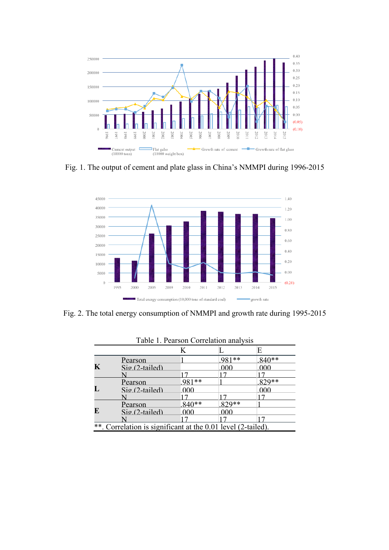

Fig. 1. The output of cement and plate glass in China's NMMPI during 1996-2015



Fig. 2. The total energy consumption of NMMPI and growth rate during 1995-2015

|             | Table 1. Pearson Correlation analysis                        |         |       |         |  |  |  |
|-------------|--------------------------------------------------------------|---------|-------|---------|--|--|--|
|             |                                                              |         |       | E       |  |  |  |
|             | Pearson                                                      |         | 981** | $840**$ |  |  |  |
| $\mathbf K$ | $\mathrm{Si}\varrho$ (2-tailed)                              |         | 000   | 000     |  |  |  |
|             |                                                              |         |       |         |  |  |  |
| L           | Pearson                                                      | 981**   |       | 829**   |  |  |  |
|             | $\mathrm{Si}\varrho$ (2-tailed)                              | 000     |       | 000     |  |  |  |
|             |                                                              |         |       |         |  |  |  |
| E           | Pearson                                                      | $840**$ | 829** |         |  |  |  |
|             | $\mathrm{Si}\varrho$ (2-tailed)                              | 000     | 000   |         |  |  |  |
|             |                                                              |         |       |         |  |  |  |
|             | **. Correlation is significant at the 0.01 level (2-tailed). |         |       |         |  |  |  |

Table 1. Pearson Correlation analysis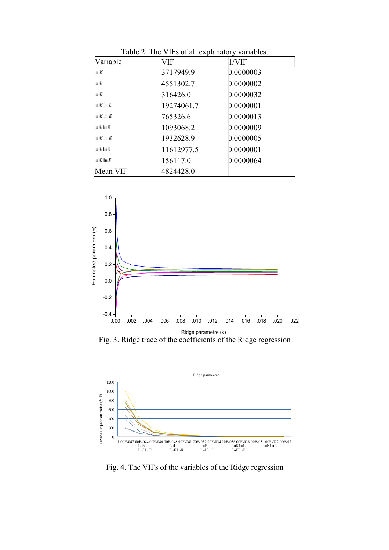| Variable                                  | <b>VIF</b> | 1/VIF     |
|-------------------------------------------|------------|-----------|
| lu Ri                                     | 3717949.9  | 0.0000003 |
| lu ta                                     | 4551302.7  | 0.0000002 |
| lit E.                                    | 316426.0   | 0.0000032 |
| In Richard                                | 19274061.7 | 0.0000001 |
| 10 的に言                                    | 765326.6   | 0.0000013 |
| $\ln L \ln E$                             | 1093068.2  | 0.0000009 |
| $\mathbb{H}(\mathbb{R})\times \mathbb{R}$ | 1932628.9  | 0.0000005 |
| to Chris                                  | 11612977.5 | 0.0000001 |
| $\ln E \ln E$                             | 156117.0   | 0.0000064 |
| Mean VIF                                  | 4824428.0  |           |

Table 2. The VIFs of all explanatory variables.



Fig. 3. Ridge trace of the coefficients of the Ridge regression



Fig. 4. The VIFs of the variables of the Ridge regression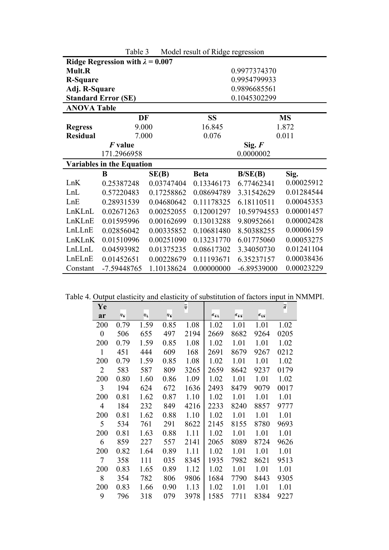| $14000 - 1400001$ result of Ridge regression |                                  |            |             |               |            |  |  |  |
|----------------------------------------------|----------------------------------|------------|-------------|---------------|------------|--|--|--|
| Ridge Regression with $\lambda = 0.007$      |                                  |            |             |               |            |  |  |  |
| <b>Mult.R</b>                                |                                  |            |             | 0.9977374370  |            |  |  |  |
| <b>R-Square</b>                              |                                  |            |             | 0.9954799933  |            |  |  |  |
| Adj. R-Square                                |                                  |            |             | 0.9896685561  |            |  |  |  |
|                                              | <b>Standard Error (SE)</b>       |            |             | 0.1045302299  |            |  |  |  |
| <b>ANOVA Table</b>                           |                                  |            |             |               |            |  |  |  |
|                                              | DF                               |            | <b>SS</b>   | <b>MS</b>     |            |  |  |  |
| <b>Regress</b>                               | 9.000                            |            | 16.845      |               | 1.872      |  |  |  |
| <b>Residual</b>                              | 7.000                            |            | 0.076       |               | 0.011      |  |  |  |
| <i>F</i> value                               |                                  |            |             | Sig. $F$      |            |  |  |  |
| 171.2966958                                  |                                  |            | 0.0000002   |               |            |  |  |  |
|                                              | <b>Variables in the Equation</b> |            |             |               |            |  |  |  |
|                                              | B                                | SE(B)      | <b>Beta</b> | B/SE(B)       | Sig.       |  |  |  |
| LnK                                          | 0.25387248                       | 0.03747404 | 0.13346173  | 6.77462341    | 0.00025912 |  |  |  |
| LnL                                          | 0.57220483                       | 0.17258862 | 0.08694789  | 3.31542629    | 0.01284544 |  |  |  |
| LnE                                          | 0.28931539                       | 0.04680642 | 0.11178325  | 6.18110511    | 0.00045353 |  |  |  |
| LnKLnL                                       | 0.02671263                       | 0.00252055 | 0.12001297  | 10.59794553   | 0.00001457 |  |  |  |
| LnKLnE                                       | 0.01595996                       | 0.00162699 | 0.13013288  | 9.80952661    | 0.00002428 |  |  |  |
| LnLLnE                                       | 0.02856042                       | 0.00335852 | 0.10681480  | 8.50388255    | 0.00006159 |  |  |  |
| LnKLnK                                       | 0.00251090<br>0.01510996         |            | 0.13231770  | 6.01775060    | 0.00053275 |  |  |  |
| LnLLnL<br>0.01375235<br>0.04593982           |                                  | 0.08617302 | 3.34050730  | 0.01241104    |            |  |  |  |
| LnELnE                                       | 0.01452651                       | 0.00228679 | 0.11193671  | 6.35237157    | 0.00038436 |  |  |  |
| Constant                                     | -7.59448765                      | 1.10138624 | 0.00000000  | $-6.89539000$ | 0.00023229 |  |  |  |

Table 3 Model result of Ridge regression

Table 4. Output elasticity and elasticity of substitution of factors input in NMMPI.

| Ye               |      |      |      | 듷    |               |               |               | ā    |
|------------------|------|------|------|------|---------------|---------------|---------------|------|
| ar               | Ψr   | ΨL   | ÷г   |      | $\sigma_{KL}$ | $\sigma_{EE}$ | $\sigma_{15}$ |      |
| 200              | 0.79 | 1.59 | 0.85 | 1.08 | 1.02          | 1.01          | 1.01          | 1.02 |
| $\boldsymbol{0}$ | 506  | 655  | 497  | 2194 | 2669          | 8682          | 9264          | 0205 |
| 200              | 0.79 | 1.59 | 0.85 | 1.08 | 1.02          | 1.01          | 1.01          | 1.02 |
| 1                | 451  | 444  | 609  | 168  | 2691          | 8679          | 9267          | 0212 |
| 200              | 0.79 | 1.59 | 0.85 | 1.08 | 1.02          | 1.01          | 1.01          | 1.02 |
| $\overline{2}$   | 583  | 587  | 809  | 3265 | 2659          | 8642          | 9237          | 0179 |
| 200              | 0.80 | 1.60 | 0.86 | 1.09 | 1.02          | 1.01          | 1.01          | 1.02 |
| 3                | 194  | 624  | 672  | 1636 | 2493          | 8479          | 9079          | 0017 |
| 200              | 0.81 | 1.62 | 0.87 | 1.10 | 1.02          | 1.01          | 1.01          | 1.01 |
| 4                | 184  | 232  | 849  | 4216 | 2233          | 8240          | 8857          | 9777 |
| 200              | 0.81 | 1.62 | 0.88 | 1.10 | 1.02          | 1.01          | 1.01          | 1.01 |
| 5                | 534  | 761  | 291  | 8622 | 2145          | 8155          | 8780          | 9693 |
| 200              | 0.81 | 1.63 | 0.88 | 1.11 | 1.02          | 1.01          | 1.01          | 1.01 |
| 6                | 859  | 227  | 557  | 2141 | 2065          | 8089          | 8724          | 9626 |
| 200              | 0.82 | 1.64 | 0.89 | 1.11 | 1.02          | 1.01          | 1.01          | 1.01 |
| $\tau$           | 358  | 111  | 035  | 8345 | 1935          | 7982          | 8621          | 9513 |
| 200              | 0.83 | 1.65 | 0.89 | 1.12 | 1.02          | 1.01          | 1.01          | 1.01 |
| 8                | 354  | 782  | 806  | 9806 | 1684          | 7790          | 8443          | 9305 |
| 200              | 0.83 | 1.66 | 0.90 | 1.13 | 1.02          | 1.01          | 1.01          | 1.01 |
| 9                | 796  | 318  | 079  | 3978 | 1585          | 7711          | 8384          | 9227 |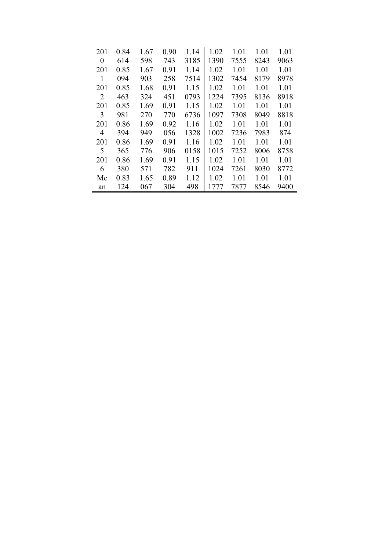| 201      | 0.84 | 1.67 | 0.90 | 1.14 | 1.02 | 1.01 | 1.01 | 1.01 |
|----------|------|------|------|------|------|------|------|------|
| $\theta$ | 614  | 598  | 743  | 3185 | 1390 | 7555 | 8243 | 9063 |
| 201      | 0.85 | 1.67 | 0.91 | 1.14 | 1.02 | 1.01 | 1.01 | 1.01 |
| 1        | 094  | 903  | 258  | 7514 | 1302 | 7454 | 8179 | 8978 |
| 201      | 0.85 | 1.68 | 0.91 | 1.15 | 1.02 | 1.01 | 1.01 | 1.01 |
| 2        | 463  | 324  | 451  | 0793 | 1224 | 7395 | 8136 | 8918 |
| 201      | 0.85 | 1.69 | 0.91 | 1.15 | 1.02 | 1.01 | 1.01 | 1.01 |
| 3        | 981  | 270  | 770  | 6736 | 1097 | 7308 | 8049 | 8818 |
| 201      | 0.86 | 1.69 | 0.92 | 1.16 | 1.02 | 1.01 | 1.01 | 1.01 |
| 4        | 394  | 949  | 056  | 1328 | 1002 | 7236 | 7983 | 874  |
| 201      | 0.86 | 1.69 | 0.91 | 1.16 | 1.02 | 1.01 | 1.01 | 1.01 |
| 5        | 365  | 776  | 906  | 0158 | 1015 | 7252 | 8006 | 8758 |
| 201      | 0.86 | 1.69 | 0.91 | 1.15 | 1.02 | 1.01 | 1.01 | 1.01 |
| 6        | 380  | 571  | 782  | 911  | 1024 | 7261 | 8030 | 8772 |
| Me       | 0.83 | 1.65 | 0.89 | 1.12 | 1.02 | 1.01 | 1.01 | 1.01 |
| an       | 124  | 067  | 304  | 498  | 1777 | 7877 | 8546 | 9400 |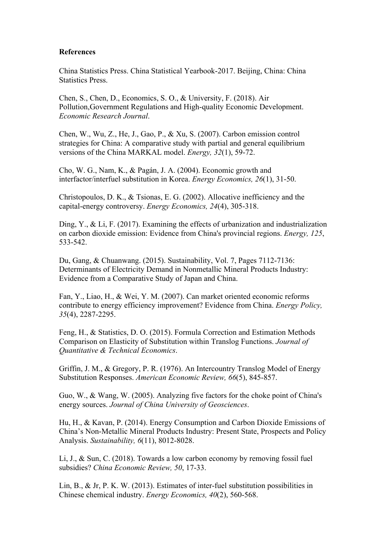### **References**

China Statistics Press. China Statistical Yearbook-2017. Beijing, China: China Statistics Press.

Chen, S., Chen, D., Economics, S. O., & University, F. (2018). Air Pollution,Government Regulations and High-quality Economic Development. *Economic Research Journal*.

Chen, W., Wu, Z., He, J., Gao, P., & Xu, S. (2007). Carbon emission control strategies for China: A comparative study with partial and general equilibrium versions of the China MARKAL model. *Energy, 32*(1), 59-72.

Cho, W. G., Nam, K., & Pagán, J. A. (2004). Economic growth and interfactor/interfuel substitution in Korea. *Energy Economics, 26*(1), 31-50.

Christopoulos, D. K., & Tsionas, E. G. (2002). Allocative inefficiency and the capital-energy controversy. *Energy Economics, 24*(4), 305-318.

Ding, Y., & Li, F. (2017). Examining the effects of urbanization and industrialization on carbon dioxide emission: Evidence from China's provincial regions. *Energy, 125*, 533-542.

Du, Gang, & Chuanwang. (2015). Sustainability, Vol. 7, Pages 7112-7136: Determinants of Electricity Demand in Nonmetallic Mineral Products Industry: Evidence from a Comparative Study of Japan and China.

Fan, Y., Liao, H., & Wei, Y. M. (2007). Can market oriented economic reforms contribute to energy efficiency improvement? Evidence from China. *Energy Policy, 35*(4), 2287-2295.

Feng, H., & Statistics, D. O. (2015). Formula Correction and Estimation Methods Comparison on Elasticity of Substitution within Translog Functions. *Journal of Quantitative & Technical Economics*.

Griffin, J. M., & Gregory, P. R. (1976). An Intercountry Translog Model of Energy Substitution Responses. *American Economic Review, 66*(5), 845-857.

Guo, W., & Wang, W. (2005). Analyzing five factors for the choke point of China's energy sources. *Journal of China University of Geosciences*.

Hu, H., & Kavan, P. (2014). Energy Consumption and Carbon Dioxide Emissions of China's Non-Metallic Mineral Products Industry: Present State, Prospects and Policy Analysis. *Sustainability, 6*(11), 8012-8028.

Li, J., & Sun, C. (2018). Towards a low carbon economy by removing fossil fuel subsidies? *China Economic Review, 50*, 17-33.

Lin, B., & Jr, P. K. W. (2013). Estimates of inter-fuel substitution possibilities in Chinese chemical industry. *Energy Economics, 40*(2), 560-568.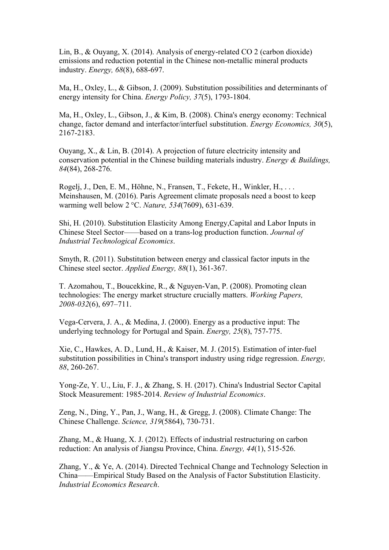Lin, B., & Ouyang, X. (2014). Analysis of energy-related CO 2 (carbon dioxide) emissions and reduction potential in the Chinese non-metallic mineral products industry. *Energy, 68*(8), 688-697.

Ma, H., Oxley, L., & Gibson, J. (2009). Substitution possibilities and determinants of energy intensity for China. *Energy Policy, 37*(5), 1793-1804.

Ma, H., Oxley, L., Gibson, J., & Kim, B. (2008). China's energy economy: Technical change, factor demand and interfactor/interfuel substitution. *Energy Economics, 30*(5), 2167-2183.

Ouyang, X., & Lin, B. (2014). A projection of future electricity intensity and conservation potential in the Chinese building materials industry. *Energy & Buildings, 84*(84), 268-276.

Rogelj, J., Den, E. M., Höhne, N., Fransen, T., Fekete, H., Winkler, H., . . . Meinshausen, M. (2016). Paris Agreement climate proposals need a boost to keep warming well below 2 °C. *Nature, 534*(7609), 631-639.

Shi, H. (2010). Substitution Elasticity Among Energy,Capital and Labor Inputs in Chinese Steel Sector——based on a trans-log production function. *Journal of Industrial Technological Economics*.

Smyth, R. (2011). Substitution between energy and classical factor inputs in the Chinese steel sector. *Applied Energy, 88*(1), 361-367.

T. Azomahou, T., Boucekkine, R., & Nguyen-Van, P. (2008). Promoting clean technologies: The energy market structure crucially matters. *Working Papers, 2008-032*(6), 697–711.

Vega-Cervera, J. A., & Medina, J. (2000). Energy as a productive input: The underlying technology for Portugal and Spain. *Energy, 25*(8), 757-775.

Xie, C., Hawkes, A. D., Lund, H., & Kaiser, M. J. (2015). Estimation of inter-fuel substitution possibilities in China's transport industry using ridge regression. *Energy, 88*, 260-267.

Yong-Ze, Y. U., Liu, F. J., & Zhang, S. H. (2017). China's Industrial Sector Capital Stock Measurement: 1985-2014. *Review of Industrial Economics*.

Zeng, N., Ding, Y., Pan, J., Wang, H., & Gregg, J. (2008). Climate Change: The Chinese Challenge. *Science, 319*(5864), 730-731.

Zhang, M., & Huang, X. J. (2012). Effects of industrial restructuring on carbon reduction: An analysis of Jiangsu Province, China. *Energy, 44*(1), 515-526.

Zhang, Y., & Ye, A. (2014). Directed Technical Change and Technology Selection in China——Empirical Study Based on the Analysis of Factor Substitution Elasticity. *Industrial Economics Research*.